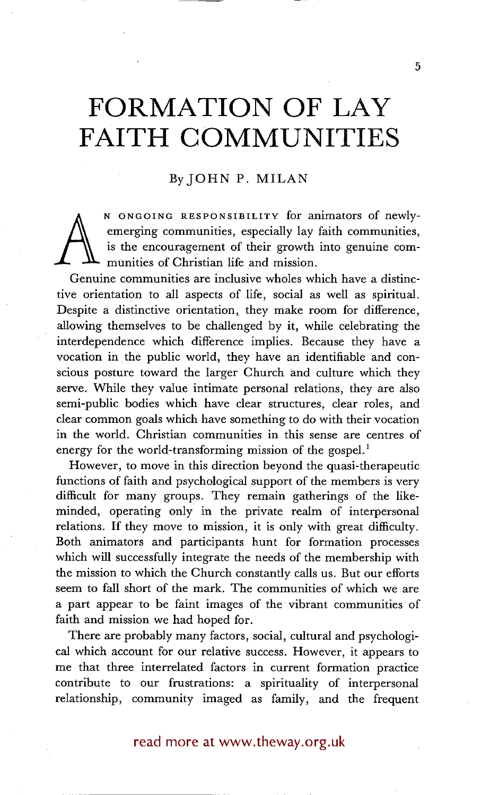# **FORMATION OF LAY FAITH COMMUNITIES**

# By JOHN P. MILAN

 $\bigwedge_{\alpha}$ N ONGOING RESPONSIBILITY for animators of newlyemerging communities, especially lay faith communities, is the encouragement of their growth into genuine communities of Christian life and mission.

Genuine communities are inclusive wholes which have a distinctive orientation to all aspects of life, social as well as spiritual. Despite a distinctive orientation, they make room for difference, allowing themselves to be challenged by it, while celebrating the interdependence which difference implies. Because they have a vocation in the public world, they have an identifiable and conscious posture toward the larger Church and culture which they serve. While they value intimate personal relations, they are also semi-public bodies which have clear structures, clear roles, and clear common goals which have something to do with their vocation in the world. Christian communities in this sense are centres of energy for the world-transforming mission of the gospel.<sup>1</sup>

However, to move in this direction beyond the quasi-therapeutic functions of faith and psychological support of the members is very difficult for many groups. They remain gatherings of the likeminded, operating only in the private realm of interpersonal relations. If they move to mission, it is only with great difficulty. Both animators and participants hunt for formation processes which will successfully integrate the needs of the membership with the mission to which the Church constantly calls us. But our efforts seem to fall short of the mark. The communities of which we are a part appear to be faint images of the vibrant communities of faith and mission we had hoped for.

There are probably many factors, social, cultural and psychological which account for our relative success. However, it appears to me that three interrelated factors in current formation practice contribute to our frustrations: a spirituality of interpersonal relationship, community imaged as family, and the frequent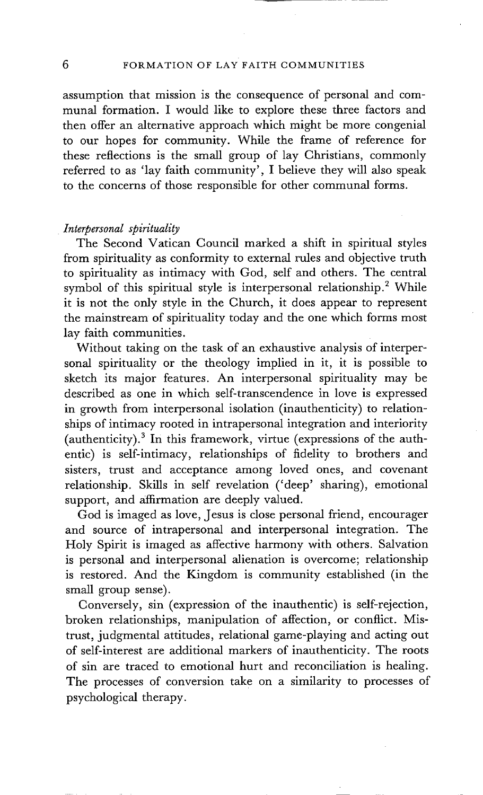assumption that mission is the consequence of personal and communal formation. I would like to explore these three factors and then offer an alternative approach which might be more congenial to our hopes for community. While the frame of reference for these reflections is the small group of lay Christians, commonly referred to as 'lay faith community', I believe they will also speak to the concerns of those responsible for other communal forms.

# *Interpersonal spirituality*

The Second Vatican Council marked a shift in spiritual styles from spirituality as conformity to external rules and objective truth to spirituality as intimacy with God, self and others. The central symbol of this spiritual style is interpersonal relationship.<sup>2</sup> While it is not the only style in the Church, it does appear to represent the mainstream of spirituality today and the one which forms most lay faith communities.

Without taking on the task of an exhaustive analysis of interpersonal spirituality or the theology implied in it, it is possible to sketch its major features. An interpersonal spirituality may be described as one in which self-transcendence in love is expressed in growth from interpersonal isolation (inauthenticity) to relationships of intimacy rooted in intrapersonal integration and interiority (authenticity). $3$  In this framework, virtue (expressions of the authentic) is self-intimacy, relationships of fidelity to brothers and sisters, trust and acceptance among loved ones, and covenant relationship. Skills in self revelation ('deep' sharing), emotional support, and affirmation are deeply valued.

God is imaged as love, Jesus is close personal friend, encourager and source of intrapersonal and interpersonal integration. The Holy Spirit is imaged as affective harmony with others. Salvation is personal and interpersonal alienation is overcome; relationship is restored. And the Kingdom is community established (in the small group sense).

Conversely, sin (expression of the inauthentic) is self-rejection, broken relationships, manipulation of affection, or conflict. Mistrust, judgmental attitudes, relational game-playing and acting out of self-interest are additional markers of inauthenticity. The roots of sin are traced to emotional hurt and reconciliation is healing. The processes of conversion take on a similarity to processes of psychological therapy.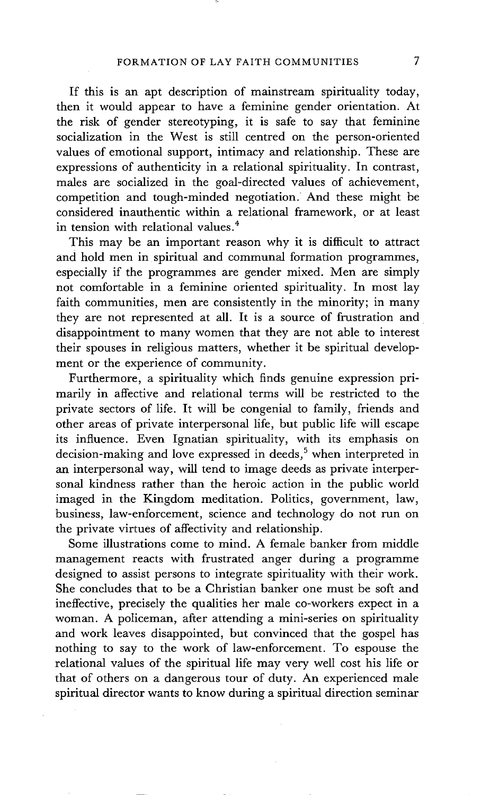If this is an apt description of mainstream spirituality today, then it would appear to have a feminine gender orientation. At the risk of gender stereotyping, it is safe to say that feminine socialization in the West is still centred on the person-oriented values of emotional support, intimacy and relationship. These are expressions of authenticity in a relational spirituality. In contrast, males are socialized in the goal-directed values of achievement, competition and tough-minded negotiation. And these might be considered inauthentic within a relational framework, or at least in tension with relational values. 4

This may be an important reason why it is difficult to attract and hold men in spiritual and communal formation programmes, especially if the programmes are gender mixed. Men are simply not comfortable in a feminine oriented spirituality. In most lay faith communities, men are consistently in the minority; in many they are not represented at all. It is a source of frustration and disappointment to many women that they are not able to interest their spouses in religious matters, whether it be spiritual development or the experience of community.

Furthermore, a spirituality which finds genuine expression primarily in affective and relational terms will be restricted to the private sectors of life. It will be congenial to family, friends and other areas of private interpersonal life, but punic life will escape its influence. Even Ignatian spirituality, with its emphasis on decision-making and love expressed in deeds,<sup>5</sup> when interpreted in an interpersonal way, will tend to image deeds as private interpersonal kindness rather than the heroic action in the public world imaged in the Kingdom meditation. Politics, government, law, business, law-enforcement, science and technology do not run on the private virtues of affectivity and relationship.

Some illustrations come to mind. A female banker from middle management reacts with frustrated anger during a programme designed to assist persons to integrate spirituality with their work. She concludes that to be a Christian banker one must be soft and ineffective, precisely the qualities her male co-workers expect in a woman. A policeman, after attending a mini-series on spirituality and work leaves disappointed, but convinced that the gospel has nothing to say to the work of law-enforcement. To espouse the relational values of the spiritual life may very well cost his life or that of others on a dangerous tour of duty. An experienced male spiritual director wants to know during a spiritual direction seminar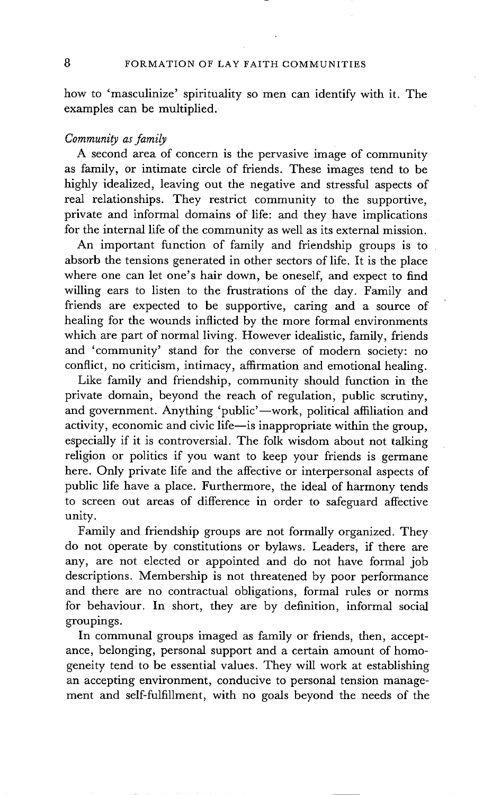how to 'masculinize' spirituality so men can identify with it. The examples can be multiplied.

# *Community as family*

A second area of concern is the pervasive image of community as family, or intimate circle of friends. These images tend to be highly idealized, leaving out the negative and stressful aspects of real relationships. They restrict community to the supportive, private and informal domains of life: and they have implications for the internal life of the community as well as its external mission.

An important function of family and friendship groups is to absorb the tensions generated in other sectors of life. It is the place where one can let one's hair down, be oneself, and expect to find willing ears to listen to the frustrations of the day. Family and friends are expected to be supportive, caring and a source of healing for the wounds inflicted by the more formal environments which are part of normal living. However idealistic, family, friends and 'community' stand for the converse of modern society: no conflict, no criticism, intimacy, affirmation and emotional healing.

Like family and friendship, community should function in the private domain, beyond the reach of regulation, public scrutiny, and government. Anything 'public'-work, political affiliation and activity, economic and civic life-is inappropriate within the group, especially if it is controversial. The folk wisdom about not talking religion or politics if you want to keep your friends is germane here. Only private life and the affective or interpersonal aspects of public life have a place. Furthermore, the ideal of harmony tends to screen out areas of difference in order to safeguard affective unity.

Family and friendship groups are not formally organized. They do not operate by constitutions or bylaws. Leaders, if there are any, are not elected or appointed and do not have formal job descriptions. Membership is not threatened by poor performance and there are no contractual obligations, formal rules or norms for behaviour. In short, they are by definition, informal social groupings.

In communal groups imaged as family or friends, then, acceptance, belonging, personal support and a certain amount of homogeneity tend to be essential values. They will work at establishing an accepting environment, conducive to personal tension management and self-fulfillment, with no goals beyond the needs of the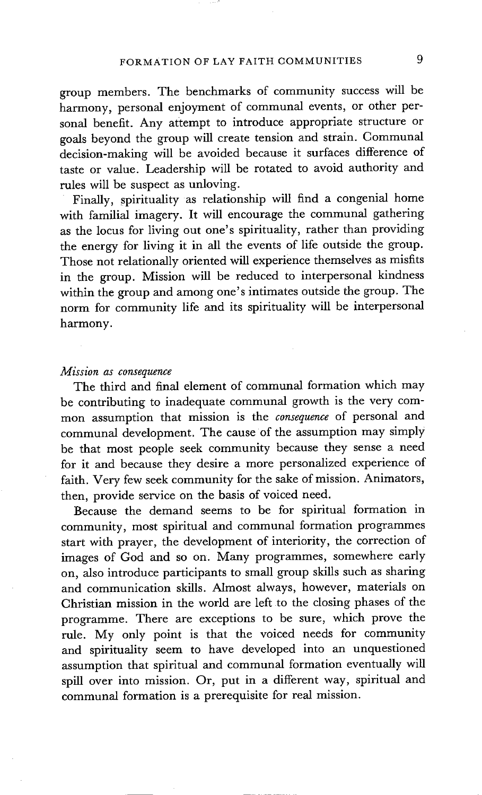group members. The benchmarks of community success will be harmony, personal enjoyment of communal events, or other personal benefit. Any attempt to introduce appropriate structure or goals beyond the group will create tension and strain. Communal decision-making will be avoided because it surfaces difference of taste or value. Leadership will be rotated to avoid authority and rules will be suspect as unloving.

Finally, spirituality as relationship will find a congenial home with familial imagery. It will encourage the communal gathering as the locus for living out one's spirituality, rather than providing the energy for living it in all the events of life outside the group. Those not relationally oriented will experience themselves as misfits in the group. Mission will be reduced to interpersonal kindness within the group and among one's intimates outside the group. The norm for community life and its spirituality will be interpersonal harmony.

#### *Mission as consequence*

The third and final element of communal formation which may be contributing to inadequate communal growth is the very common assumption that mission is the *consequence* of personal and communal development. The cause of the assumption may simply be that most people seek community because they sense a need for it and because they desire a more personalized experience of faith. Very few seek community for the sake of mission. Animators, then, provide service on the basis of voiced need.

Because the demand seems to be for spiritual formation in community, most spiritual and communal formation programmes start with prayer, the development of interiority, the correction of images of God and so on. Many programmes, somewhere early on, also introduce participants to small group skills such as sharing and communication skills. Almost always, however, materials on Christian mission in the world are left to the closing phases of the programme. There are exceptions to be sure, which prove the rule. My only point is that the voiced needs for community and spirituality seem to have developed into an unquestioned assumption that spiritual and communal formation eventually will spill over into mission. Or, put in a different way, spiritual and communal formation is a prerequisite for real mission.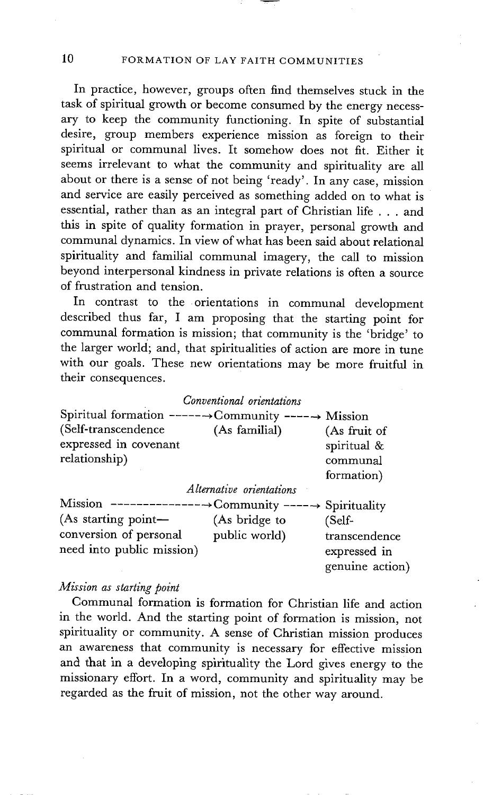In practice, however, groups often find themselves stuck in the task of spiritual growth or become consumed by the energy necessary to keep the community functioning. In spite of substantial desire, group members experience mission as foreign to their spiritual or communal lives. It somehow does not fit. Either it seems irrelevant to what the community and spirituality are all about or there is a sense of not being 'ready'. In any case, mission and service are easily perceived as something added on to what is essential, rather than as an integral part of Christian life . . . and this in spite of quality formation in prayer, personal growth and communal dynamics. In view of what has been said about relational spirituality and familial communal imagery, the call to mission beyond interpersonal kindness in private relations is often a source of frustration and tension.

In contrast to the orientations in communal development described thus far, I am proposing that the starting point for communal formation is mission; that community is the 'bridge' to the larger world; and, that spiritualities of action are more in tune with our goals. These new orientations may be more fruitful in their consequences.

|                                                               | Conventional orientations       |                                                       |
|---------------------------------------------------------------|---------------------------------|-------------------------------------------------------|
| Spiritual formation ------->Community -----> Mission          |                                 |                                                       |
| (Self-transcendence<br>expressed in covenant<br>relationship) | (As familial)                   | (As fruit of<br>spiritual &<br>communal<br>formation) |
|                                                               | <i>Alternative orientations</i> |                                                       |
| Mission ------------------->Community ------> Spirituality    |                                 |                                                       |
| (As starting point-                                           | (As bridge to                   | (Self-                                                |
| conversion of personal<br>need into public mission)           | public world)                   | transcendence<br>expressed in<br>genuine action)      |

### *Mission as starting point*

Communal formation is formation for Christian life and action in the world. And the starting point of formation is mission, not spirituality or community. A sense of Christian mission produces an awareness that community is necessary for effective mission and that in a developing spirituality the Lord gives energy to the missionary effort. In a word, community and spirituality may be regarded as the fruit of mission, not the other way around.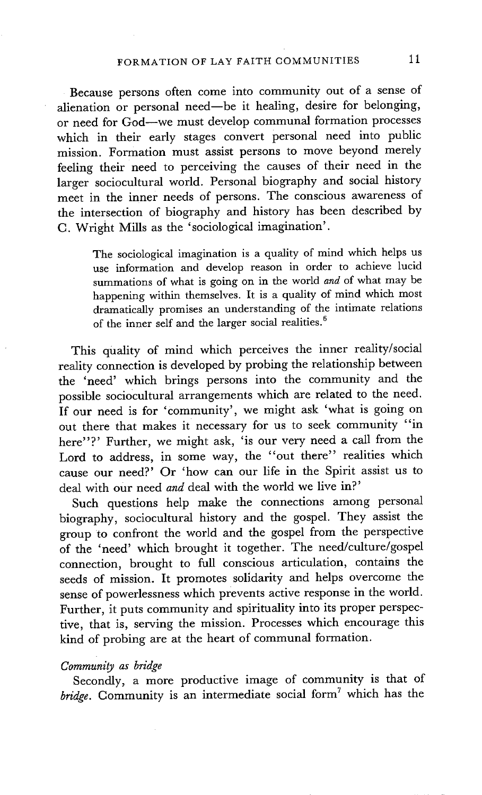Because persons often come into community out of a sense of alienation or personal need--be it healing, desire for belonging, or need for God--we must deyelop communal formation processes which in their early stages convert personal need into public mission. Formation must assist persons to move beyond merely feeling their need to perceiving the causes of their need in the larger sociocultural world. Personal biography and social history meet in the inner needs of persons. The conscious awareness of the intersection of biography and history has been described by C. Wright Mills as the 'sociological imagination'.

The sociological imagination is a quality of mind which helps us use information and develop reason in order to achieve lucid summations of what is going on in the world *and* of what may be happening within themselves. It is a quality of mind which most dramatically promises an understanding of the intimate relations of the inner self and the larger social realities.<sup>6</sup>

This quality of mind which perceives the inner reality/social reality connection is developed by probing the relationship between the 'need' which brings persons into the community and the possible sociocultural arrangements which are related to the need. If our need is for 'community', we might ask 'what is going on out there that makes it necessary for us to seek community "in here"?' Further, we might ask, 'is our very need a call from the Lord to address, in some way, the "out there" realities which cause our need?' Or 'how can our life in the Spirit assist us to deal with our need *and* deal with the world we live in?'

Such questions help make the connections among personal biography, sociocultural history and the gospel. They assist the group to confront the world and the gospel from the perspective of the 'need' which brought it together. The need/culture/gospel connection, brought to full conscious articulation, contains the seeds of mission. It promotes solidarity and helps overcome the sense of powerlessness which prevents active response in the world. Further, it puts community and spirituality into its proper perspective, that is, serving the mission. Processes which encourage this kind of probing are at the heart of communal formation.

#### *Community as bridge*

Secondly, a more productive image of community is that of *bridge*. Community is an intermediate social form<sup>7</sup> which has the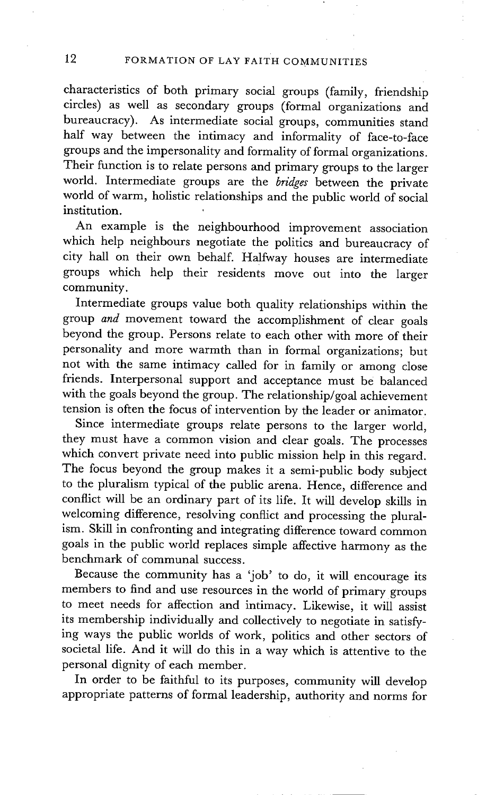characteristics of both primary social groups (family, friendship circles) as well as secondary groups (formal organizations and bureaucracy). As intermediate social groups, communities stand half way between the intimacy and informality of face-to-face groups and the impersonality and formality of formal organizations. Their function is to relate persons and primary groups to the larger world. Intermediate groups are the *bridges* between the private world of warm, holistic relationships and the public world of social institution.

An example is the neighbourhood improvement association which help neighbours negotiate the politics and bureaucracy of city hall on their own behalf. Halfway houses are intermediate groups which help their residents move out into the larger community.

Intermediate groups value both quality relationships within the group *and* movement toward the accomplishment of clear goals beyond the group. Persons relate to each other with more of their personality and more warmth than in formal organizations; but not with the same intimacy called for in family or among close friends. Interpersonal support and acceptance must be balanced with the goals beyond the group. The relationship/goal achievement tension is often the focus of intervention by the leader or animator.

Since intermediate groups relate persons to the larger world, they must have a common vision and clear goals. The processes which convert private need into public mission help in this regard. The focus beyond the group makes it a semi-public body subject to the pluralism typical of the public arena. Hence, difference and conflict will be an ordinary part of its life. It will develop skills in welcoming difference, resolving conflict and processing the pluralism. Skill in confronting and integrating difference toward common goals in the public world replaces simple affective harmony as the benchmark of communal success.

Because the community has a 'job' to do, it will encourage its members to find and use resources in the world of primary groups to meet needs for affection and intimacy. Likewise, it will assist its membership individually and collectively to negotiate in satisfying ways the public worlds of work, politics and other sectors of societal life. And it will do this in a way which is attentive to the personal dignity of each member.

In order to be faithful to its purposes, community will develop appropriate patterns of formal leadership, authority and norms for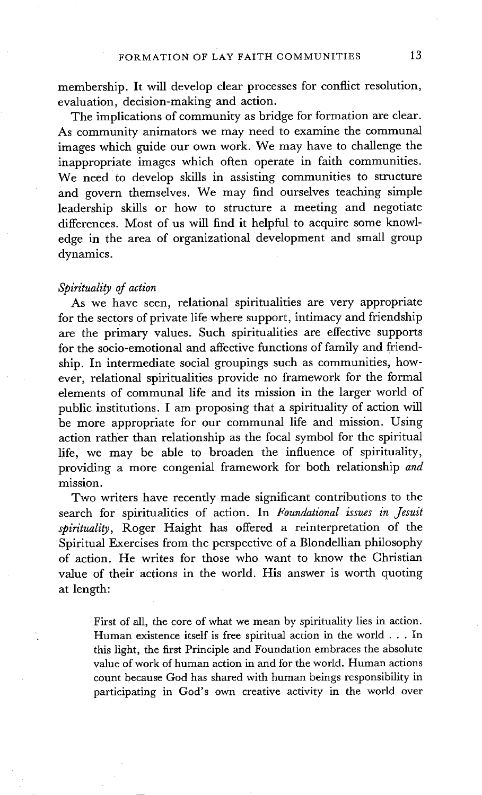membership. It will develop clear processes for conflict resolution, evaluation, decision-making and action.

The implications of community as bridge for formation are clear. As community animators we may need to examine the communal images which guide our own work. We may have to challenge the inappropriate images which often operate in faith communities. We need to develop skills in assisting communities to structure and govern themselves. We may find ourselves teaching simple leadership skills or how to structure a meeting and negotiate differences. Most of us will find it helpful to acquire some knowledge in the area of organizational development and small group dynamics.

#### *Spirituality of action*

As we have seen, relational spiritualities are very appropriate for the sectors of private life where support, intimacy and friendship are the primary values. Such spiritualities are effective supports for the socio-emotional and affective functions of family and friendship. In intermediate social groupings such as communities, however, relational spiritualities provide no framework for the formal elements of communal life and its mission in the larger world of public institutions. I am proposing that a spirituality of action will be more appropriate for our communal life and mission. Using action rather than relationship as the focal symbol for the spiritual life, we may be able to broaden the influence of spirituality, providing a more congenial framework for both relationship *and*  mission.

Two writers have recently made significant contributions to the search for spiritualities of action. In *Foundational issues in Jesuit spirituality,* Roger Haight has offered a reinterpretation of the Spiritual Exercises from the perspective of a Blondellian philosophy of action. He writes for those who want to know the Christian value of their actions in the world. His answer is worth quoting at length:

First of all, the core of what we mean by spirituality lies in action. Human existence itself is free spiritual action in the world . . . In this light, the first Principle and Foundation embraces the absolute value of work of human action in and for the world. Human actions count because God has shared with human beings responsibility in participating in God's own creative activity in the world over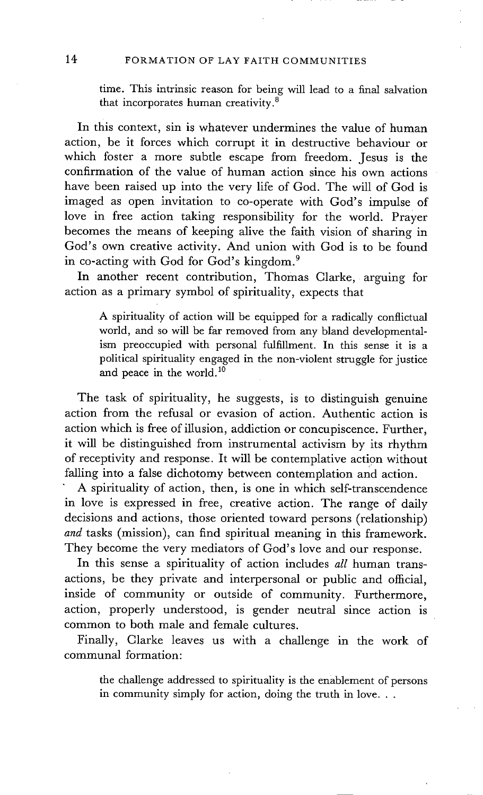time. This intrinsic reason for being will lead to a final salvation that incorporates human creativity. $\delta$ 

In this context, sin is whatever undermines the value of human action, be it forces which corrupt it in destructive behaviour or which foster a more subtle escape from freedom. Jesus is the confirmation of the value of human action since his own actions have been raised up into the very life of God. The will of God is imaged as open invitation to co-operate with God's impulse of love in free action taking responsibility for the world. Prayer becomes the means of keeping alive the faith vision of sharing in God's own creative activity. And union with God is to be found in co-acting with God for God's kingdom. 9

In another recent contribution, Thomas Clarke, arguing for action as a primary symbol of spirituality, expects that

A spirituality of action will be equipped for a radically conflictual world, and so will be far removed from any bland developmentalism preoccupied with personal fulfillment. In this sense it is a political spirituality engaged in the non-violent struggle for justice and peace in the world. $10$ 

The task of spirituality, he suggests, is to distinguish genuine action from the refusal or evasion of action. Authentic action is action which is free of illusion, addiction or concupiscence. Further, it will be distinguished from instrumental activism by its rhythm of receptivity and response. It will be contemplative action without falling into a false dichotomy between contemplation and action.

A spirituality of action, then, is one in which self-transcendence in love is expressed in free, creative action. The range of daily decisions and actions, those oriented toward persons (relationship) *and* tasks (mission), can find spiritual meaning in this framework. They become the very mediators of God's love and our response.

In this sense a spirituality of action includes *all* human transactions, be they private and interpersonal or public and official, inside of community or outside of community. Furthermore, action, properly understood, is gender neutral since action is common to both male and female cultures.

Finally, Clarke leaves us with a challenge in the work of communal formation:

the challenge addressed to spirituality is the enablement of persons in community simply for action, doing the truth in love...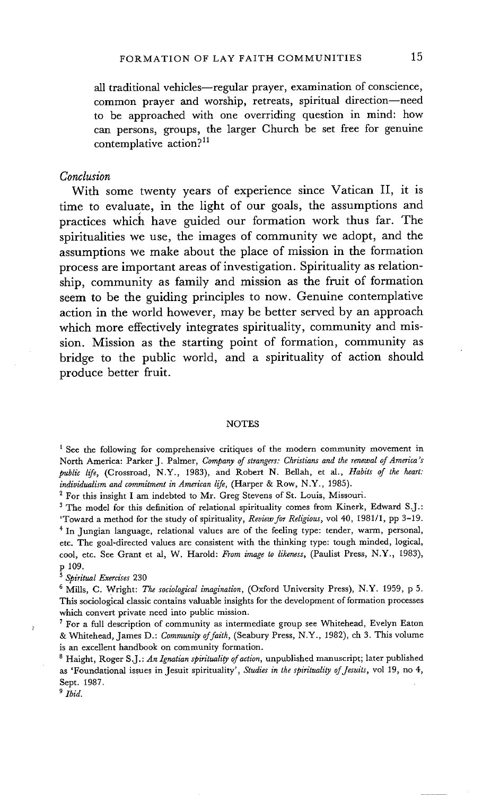all traditional vehicles-regular prayer, examination of conscience, common prayer and worship, retreats, spiritual direction--need to be approached with one overriding question in mind: how can persons, groups, the larger Church be set free for genuine contemplative action? $11$ 

#### *Conclusion*

**With some twenty years of experience since Vatican II, it is time to evaluate, in the light of our goals, the assumptions and practices which have guided our formation work thus far. The spiritualities we use, the images of community we adopt, and the assumptions we make about the place of mission in the formation process are important areas of investigation. Spirituality as relationship, community as family and mission as the fruit of formation seem to be the guiding principles to now. Genuine contemplative action in the world however, may be better served by an approach which more effectively integrates spirituality, community and mission. Mission as the starting point of formation, community as bridge to the public world, and a spirituality of action should produce better fruit.** 

#### **NOTES**

<sup>1</sup> See the following for comprehensive critiques of the modern community movement in North America: Parker J. Palmer, *Company of strangers: Christians and the renewal of America's public life, (Crossroad, N.Y., 1983), and Robert N. Bellah, et al., Habits of the heart: individualism and commitment in American life,* (Harper & Row, N.Y., 1985).

<sup>2</sup> For this insight I am indebted to Mr. Greg Stevens of St. Louis, Missouri.

<sup>3</sup> The model for this definition of relational spirituality comes from Kinerk, Edward S.J.: 'Toward a method for the study of spirituality, *Review for Religious,* vol 40, 1981/1, pp 3-19. <sup>4</sup> In Jungian language, relational values are of the feeling type: tender, warm, personal, etc. The goal-directed values are consistent with the thinking type: tough minded, logical, cool, etc. See Grant et al, W. Harold: *From image to likeness,* (Paulist Press, N.Y., 1983), p 109.

*s Spiritual Exercises* 230

6 Mills, C. Wright: *The sociological imagination,* (Oxford University Press), N.Y. 1959, p 5. This sociological classic contains valuable insights for the development of formation processes which convert private need into public mission.

7 For a full description of community as intermediate group see Whitehead, Evelyn Eaton & Whitehead, James D.: *Community of faith,* (Seabury Press, N.Y., 1982), eh 3. This volume is an excellent handbook on community formation.

8 Haight, Roger S.J. : *An Ignatian spirituality of action,* unpublished manuscript; later published as 'Foundational issues in Jesuit spirituality', *Studies in the spirituality of Jesuits,* vol 19, no 4, Sept. 1987.

*9 Ibid.* 

<sup>2</sup>